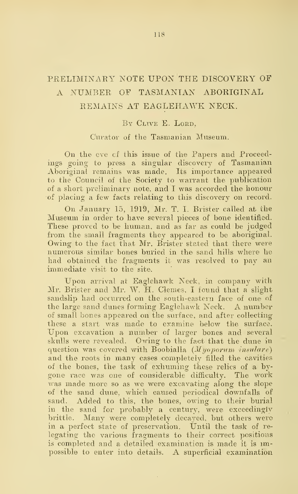## PRELIMINARY NOTE UPON THE DISCOVERY OF A NUMBER OF TASMANIAN ABORIGINAL REMAINS AT EAGLEHAWK NECK.

## BY CLIVE E. LORD,

## Curator of the Tasmanian Museum.

On the eve cf this issue of the Papers and Proceedings going to press a singular discovery of Tasmanian Aboriginal remains was made. Its importance appeared to the Council of the Society to warrant the publication of a short preliminary note, and I was accorded the honour 'of placing a few facts relating to this discovery on record.

On January 15, 1919, Mr. T. I. Brister called at the Museum in order to have several pieces of bone identified. These proved to be human, and as far as could be judged from the small fragments they appeared to be aboriginal. Owing to the fact that Mr. Brister stated that there were numerous similar bones buried in the sand hills where he had obtained the fragments it was resolved to pay an immediate visit to the site.

Upon arrival at Eaglehawk Neck, in compan}? with Mr. Brister and Mr. W. H. Clemes, I found that a slight sandslip had occurred on the south-eastern face of one of the large sand dunes forming Eaglehawk Neck. A number of small bones appeared on the surface, and after collecting these a start was made to examine below the surface. Upon excavation a number of larger bones and several skulls were revealed. Owing to the fact that the dune in question was covered with Boobialla  $(Myopprum$  insulare) and the roots in many cases completely filled the cavities of the bones, the task of exhuming these relics of a bygone race was one of considerable difficulty. The work was made more so as we were excavating along the slope of the sand dune, which caused periodical downfalls of sand. Added to this, the bones, owing to their burial in the sand for probably a century, were exceedingly brittle. Many were completely decayed, but others were in a perfect state of preservation. Until the task of re legating the various fragments to their correct positions is completed and a. detailed examination is made it is impossible to enter into details. A superficial examination